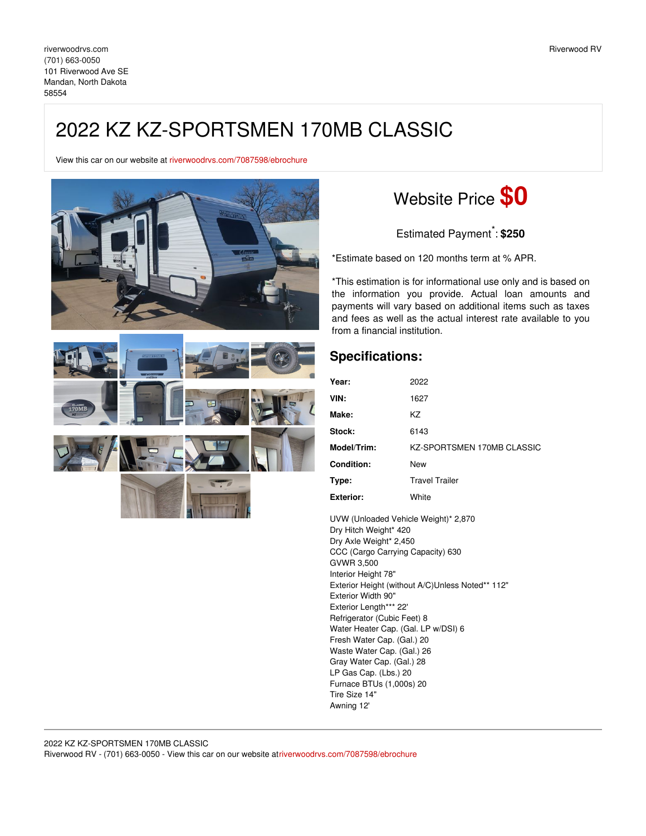## 2022 KZ KZ-SPORTSMEN 170MB CLASSIC

View this car on our website at [riverwoodrvs.com/7087598/ebrochure](https://riverwoodrvs.com/vehicle/7087598/2022-kz-kz-sportsmen-170mb-classic-mandan-north-dakota-58554/7087598/ebrochure)



## Website Price **\$0**

Estimated Payment \* : **\$250**

\*Estimate based on 120 months term at % APR.

\*This estimation is for informational use only and is based on the information you provide. Actual loan amounts and payments will vary based on additional items such as taxes and fees as well as the actual interest rate available to you from a financial institution.

## **Specifications:**

| Year:             | 2022                       |
|-------------------|----------------------------|
| VIN:              | 1627                       |
| Make:             | KZ                         |
| Stock:            | 6143                       |
| Model/Trim:       | KZ-SPORTSMEN 170MB CLASSIC |
| <b>Condition:</b> | New                        |
| Type:             | <b>Travel Trailer</b>      |
| <b>Exterior:</b>  | White                      |

UVW (Unloaded Vehicle Weight)\* 2,870 Dry Hitch Weight\* 420 Dry Axle Weight\* 2,450 CCC (Cargo Carrying Capacity) 630 GVWR 3,500 Interior Height 78" Exterior Height (without A/C)Unless Noted\*\* 112" Exterior Width 90" Exterior Length\*\*\* 22' Refrigerator (Cubic Feet) 8 Water Heater Cap. (Gal. LP w/DSI) 6 Fresh Water Cap. (Gal.) 20 Waste Water Cap. (Gal.) 26 Gray Water Cap. (Gal.) 28 LP Gas Cap. (Lbs.) 20 Furnace BTUs (1,000s) 20 Tire Size 14" Awning 12'